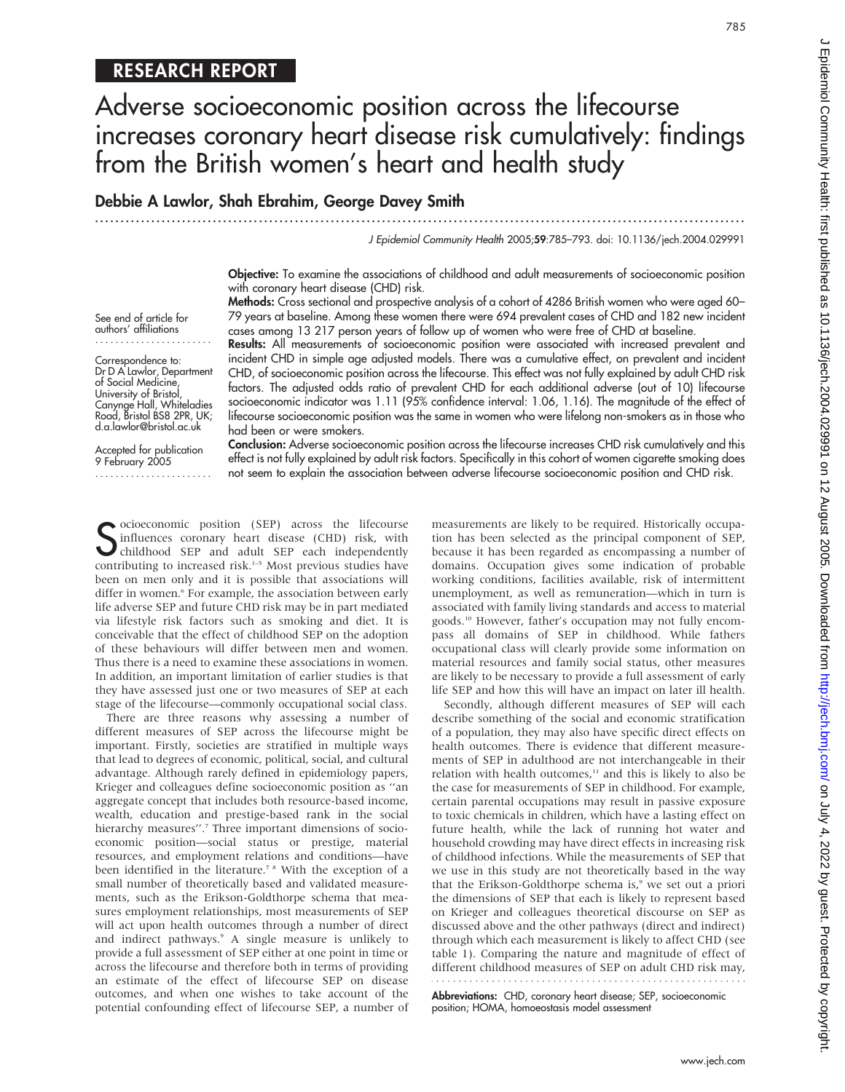# RESEARCH REPORT

# Adverse socioeconomic position across the lifecourse increases coronary heart disease risk cumulatively: findings from the British women's heart and health study

# Debbie A Lawlor, Shah Ebrahim, George Davey Smith

...............................................................................................................................

J Epidemiol Community Health 2005;59:785–793. doi: 10.1136/jech.2004.029991

Objective: To examine the associations of childhood and adult measurements of socioeconomic position with coronary heart disease (CHD) risk.

Methods: Cross sectional and prospective analysis of a cohort of 4286 British women who were aged 60– 79 years at baseline. Among these women there were 694 prevalent cases of CHD and 182 new incident cases among 13 217 person years of follow up of women who were free of CHD at baseline. Results: All measurements of socioeconomic position were associated with increased prevalent and

incident CHD in simple age adjusted models. There was a cumulative effect, on prevalent and incident CHD, of socioeconomic position across the lifecourse. This effect was not fully explained by adult CHD risk factors. The adjusted odds ratio of prevalent CHD for each additional adverse (out of 10) lifecourse socioeconomic indicator was 1.11 (95% confidence interval: 1.06, 1.16). The magnitude of the effect of

See end of article for authors' affiliations .......................

Correspondence to: Dr D A Lawlor, Department of Social Medicine, University of Bristol, Canynge Hall, Whiteladies Road, Bristol BS8 2PR, UK; d.a.lawlor@bristol.ac.uk

Accepted for publication 9 February 2005 ....................... lifecourse socioeconomic position was the same in women who were lifelong non-smokers as in those who had been or were smokers. Conclusion: Adverse socioeconomic position across the lifecourse increases CHD risk cumulatively and this effect is not fully explained by adult risk factors. Specifically in this cohort of women cigarette smoking does not seem to explain the association between adverse lifecourse socioeconomic position and CHD risk.

Socioeconomic position (SEP) across the lifecourse<br>
Sinfluences coronary heart disease (CHD) risk, with<br>
childhood SEP and adult SEP each independently<br>
contributing to increased risk <sup>1-5</sup> Meet previous studies have influences coronary heart disease (CHD) risk, with childhood SEP and adult SEP each independently contributing to increased risk.<sup>1-5</sup> Most previous studies have been on men only and it is possible that associations will differ in women.<sup>6</sup> For example, the association between early life adverse SEP and future CHD risk may be in part mediated via lifestyle risk factors such as smoking and diet. It is conceivable that the effect of childhood SEP on the adoption of these behaviours will differ between men and women. Thus there is a need to examine these associations in women. In addition, an important limitation of earlier studies is that they have assessed just one or two measures of SEP at each stage of the lifecourse—commonly occupational social class.

There are three reasons why assessing a number of different measures of SEP across the lifecourse might be important. Firstly, societies are stratified in multiple ways that lead to degrees of economic, political, social, and cultural advantage. Although rarely defined in epidemiology papers, Krieger and colleagues define socioeconomic position as ''an aggregate concept that includes both resource-based income, wealth, education and prestige-based rank in the social hierarchy measures".<sup>7</sup> Three important dimensions of socioeconomic position—social status or prestige, material resources, and employment relations and conditions—have been identified in the literature.<sup>7 8</sup> With the exception of a small number of theoretically based and validated measurements, such as the Erikson-Goldthorpe schema that measures employment relationships, most measurements of SEP will act upon health outcomes through a number of direct and indirect pathways.<sup>9</sup> A single measure is unlikely to provide a full assessment of SEP either at one point in time or across the lifecourse and therefore both in terms of providing an estimate of the effect of lifecourse SEP on disease outcomes, and when one wishes to take account of the potential confounding effect of lifecourse SEP, a number of measurements are likely to be required. Historically occupation has been selected as the principal component of SEP, because it has been regarded as encompassing a number of domains. Occupation gives some indication of probable working conditions, facilities available, risk of intermittent unemployment, as well as remuneration—which in turn is associated with family living standards and access to material goods.10 However, father's occupation may not fully encompass all domains of SEP in childhood. While fathers occupational class will clearly provide some information on material resources and family social status, other measures are likely to be necessary to provide a full assessment of early life SEP and how this will have an impact on later ill health.

Secondly, although different measures of SEP will each describe something of the social and economic stratification of a population, they may also have specific direct effects on health outcomes. There is evidence that different measurements of SEP in adulthood are not interchangeable in their relation with health outcomes,<sup>11</sup> and this is likely to also be the case for measurements of SEP in childhood. For example, certain parental occupations may result in passive exposure to toxic chemicals in children, which have a lasting effect on future health, while the lack of running hot water and household crowding may have direct effects in increasing risk of childhood infections. While the measurements of SEP that we use in this study are not theoretically based in the way that the Erikson-Goldthorpe schema is,<sup>9</sup> we set out a priori the dimensions of SEP that each is likely to represent based on Krieger and colleagues theoretical discourse on SEP as discussed above and the other pathways (direct and indirect) through which each measurement is likely to affect CHD (see table 1). Comparing the nature and magnitude of effect of different childhood measures of SEP on adult CHD risk may, 

Abbreviations: CHD, coronary heart disease; SEP, socioeconomic position; HOMA, homoeostasis model assessment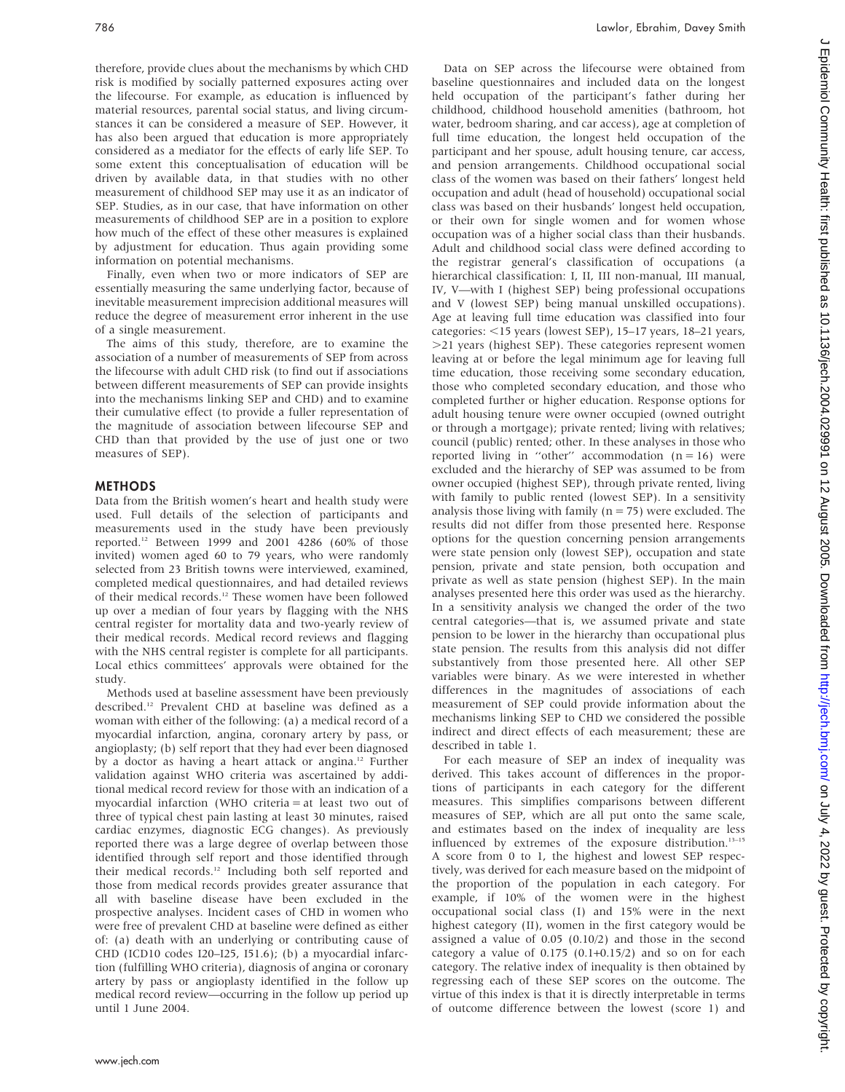therefore, provide clues about the mechanisms by which CHD risk is modified by socially patterned exposures acting over the lifecourse. For example, as education is influenced by material resources, parental social status, and living circumstances it can be considered a measure of SEP. However, it has also been argued that education is more appropriately considered as a mediator for the effects of early life SEP. To some extent this conceptualisation of education will be driven by available data, in that studies with no other measurement of childhood SEP may use it as an indicator of SEP. Studies, as in our case, that have information on other measurements of childhood SEP are in a position to explore how much of the effect of these other measures is explained by adjustment for education. Thus again providing some information on potential mechanisms.

Finally, even when two or more indicators of SEP are essentially measuring the same underlying factor, because of inevitable measurement imprecision additional measures will reduce the degree of measurement error inherent in the use of a single measurement.

The aims of this study, therefore, are to examine the association of a number of measurements of SEP from across the lifecourse with adult CHD risk (to find out if associations between different measurements of SEP can provide insights into the mechanisms linking SEP and CHD) and to examine their cumulative effect (to provide a fuller representation of the magnitude of association between lifecourse SEP and CHD than that provided by the use of just one or two measures of SEP).

#### METHODS

Data from the British women's heart and health study were used. Full details of the selection of participants and measurements used in the study have been previously reported.12 Between 1999 and 2001 4286 (60% of those invited) women aged 60 to 79 years, who were randomly selected from 23 British towns were interviewed, examined, completed medical questionnaires, and had detailed reviews of their medical records.12 These women have been followed up over a median of four years by flagging with the NHS central register for mortality data and two-yearly review of their medical records. Medical record reviews and flagging with the NHS central register is complete for all participants. Local ethics committees' approvals were obtained for the study.

Methods used at baseline assessment have been previously described.12 Prevalent CHD at baseline was defined as a woman with either of the following: (a) a medical record of a myocardial infarction, angina, coronary artery by pass, or angioplasty; (b) self report that they had ever been diagnosed by a doctor as having a heart attack or angina.<sup>12</sup> Further validation against WHO criteria was ascertained by additional medical record review for those with an indication of a myocardial infarction (WHO criteria = at least two out of three of typical chest pain lasting at least 30 minutes, raised cardiac enzymes, diagnostic ECG changes). As previously reported there was a large degree of overlap between those identified through self report and those identified through their medical records.<sup>12</sup> Including both self reported and those from medical records provides greater assurance that all with baseline disease have been excluded in the prospective analyses. Incident cases of CHD in women who were free of prevalent CHD at baseline were defined as either of: (a) death with an underlying or contributing cause of CHD (ICD10 codes I20–I25, I51.6); (b) a myocardial infarction (fulfilling WHO criteria), diagnosis of angina or coronary artery by pass or angioplasty identified in the follow up medical record review—occurring in the follow up period up until 1 June 2004.

Data on SEP across the lifecourse were obtained from baseline questionnaires and included data on the longest held occupation of the participant's father during her childhood, childhood household amenities (bathroom, hot water, bedroom sharing, and car access), age at completion of full time education, the longest held occupation of the participant and her spouse, adult housing tenure, car access, and pension arrangements. Childhood occupational social class of the women was based on their fathers' longest held occupation and adult (head of household) occupational social class was based on their husbands' longest held occupation, or their own for single women and for women whose occupation was of a higher social class than their husbands. Adult and childhood social class were defined according to the registrar general's classification of occupations (a hierarchical classification: I, II, III non-manual, III manual, IV, V—with I (highest SEP) being professional occupations and V (lowest SEP) being manual unskilled occupations). Age at leaving full time education was classified into four categories:  $<$ 15 years (lowest SEP), 15–17 years, 18–21 years, .21 years (highest SEP). These categories represent women leaving at or before the legal minimum age for leaving full time education, those receiving some secondary education, those who completed secondary education, and those who completed further or higher education. Response options for adult housing tenure were owner occupied (owned outright or through a mortgage); private rented; living with relatives; council (public) rented; other. In these analyses in those who reported living in "other" accommodation  $(n = 16)$  were excluded and the hierarchy of SEP was assumed to be from owner occupied (highest SEP), through private rented, living with family to public rented (lowest SEP). In a sensitivity analysis those living with family ( $n = 75$ ) were excluded. The results did not differ from those presented here. Response options for the question concerning pension arrangements were state pension only (lowest SEP), occupation and state pension, private and state pension, both occupation and private as well as state pension (highest SEP). In the main analyses presented here this order was used as the hierarchy. In a sensitivity analysis we changed the order of the two central categories—that is, we assumed private and state pension to be lower in the hierarchy than occupational plus state pension. The results from this analysis did not differ substantively from those presented here. All other SEP variables were binary. As we were interested in whether differences in the magnitudes of associations of each measurement of SEP could provide information about the mechanisms linking SEP to CHD we considered the possible indirect and direct effects of each measurement; these are described in table 1.

For each measure of SEP an index of inequality was derived. This takes account of differences in the proportions of participants in each category for the different measures. This simplifies comparisons between different measures of SEP, which are all put onto the same scale, and estimates based on the index of inequality are less influenced by extremes of the exposure distribution.13–15 A score from 0 to 1, the highest and lowest SEP respectively, was derived for each measure based on the midpoint of the proportion of the population in each category. For example, if 10% of the women were in the highest occupational social class (I) and 15% were in the next highest category (II), women in the first category would be assigned a value of 0.05 (0.10/2) and those in the second category a value of  $0.175$   $(0.1+0.15/2)$  and so on for each category. The relative index of inequality is then obtained by regressing each of these SEP scores on the outcome. The virtue of this index is that it is directly interpretable in terms of outcome difference between the lowest (score 1) and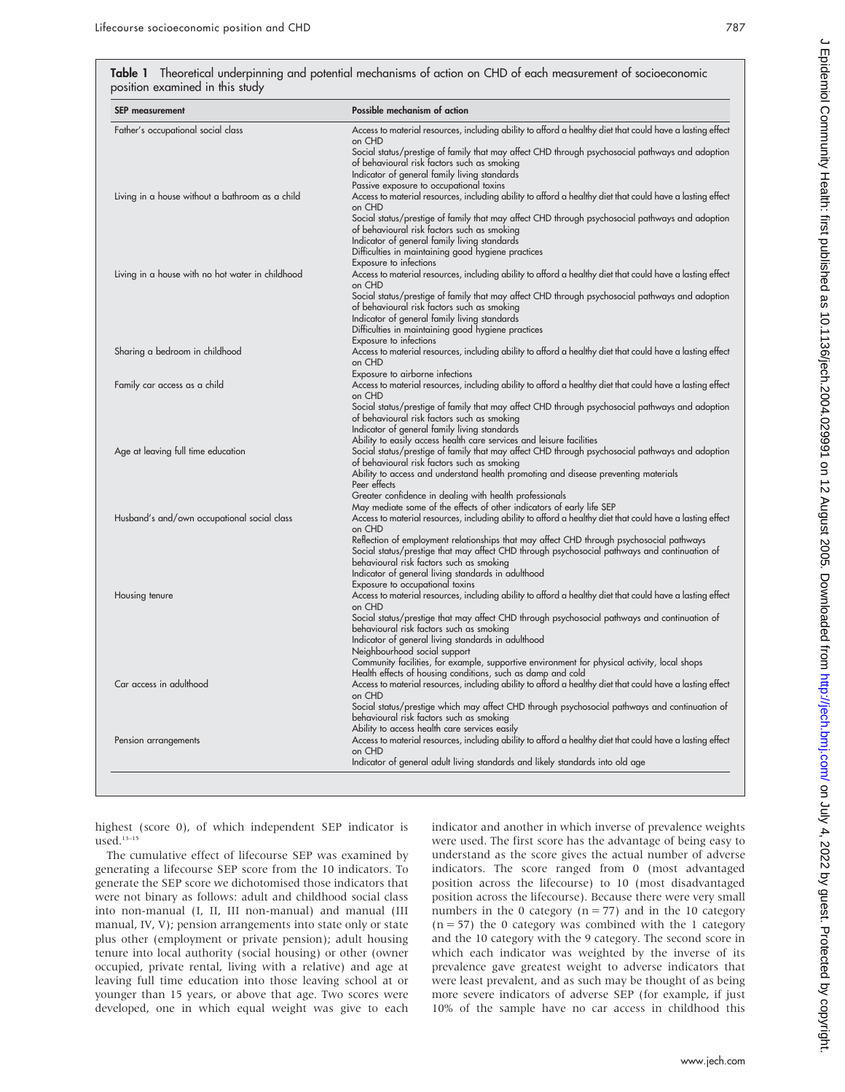Table 1 Theoretical underpinning and potential mechanisms of action on CHD of each measurement of socioeconomic position examined in this study

| Possible mechanism of action                                                                                                                                                                                                                                                               |
|--------------------------------------------------------------------------------------------------------------------------------------------------------------------------------------------------------------------------------------------------------------------------------------------|
| Access to material resources, including ability to afford a healthy diet that could have a lasting effect<br>on CHD                                                                                                                                                                        |
| Social status/prestige of family that may affect CHD through psychosocial pathways and adoption<br>of behavioural risk factors such as smoking<br>Indicator of general family living standards                                                                                             |
| Passive exposure to occupational toxins<br>Access to material resources, including ability to afford a healthy diet that could have a lasting effect                                                                                                                                       |
| on CHD<br>Social status/prestige of family that may affect CHD through psychosocial pathways and adoption<br>of behavioural risk factors such as smoking<br>Indicator of general family living standards<br>Difficulties in maintaining good hygiene practices                             |
| Exposure to infections<br>Access to material resources, including ability to afford a healthy diet that could have a lasting effect                                                                                                                                                        |
| on CHD<br>Social status/prestige of family that may affect CHD through psychosocial pathways and adoption<br>of behavioural risk factors such as smoking<br>Indicator of general family living standards<br>Difficulties in maintaining good hygiene practices                             |
| Exposure to infections<br>Access to material resources, including ability to afford a healthy diet that could have a lasting effect<br>on CHD                                                                                                                                              |
| Exposure to airborne infections<br>Access to material resources, including ability to afford a healthy diet that could have a lasting effect<br>on CHD                                                                                                                                     |
| Social status/prestige of family that may affect CHD through psychosocial pathways and adoption<br>of behavioural risk factors such as smoking<br>Indicator of general family living standards<br>Ability to easily access health care services and leisure facilities                     |
| Social status/prestige of family that may affect CHD through psychosocial pathways and adoption<br>of behavioural risk factors such as smoking<br>Ability to access and understand health promoting and disease preventing materials<br>Peer effects                                       |
| Greater confidence in dealing with health professionals<br>May mediate some of the effects of other indicators of early life SEP<br>Access to material resources, including ability to afford a healthy diet that could have a lasting effect<br>on CHD                                    |
| Reflection of employment relationships that may affect CHD through psychosocial pathways<br>Social status/prestige that may affect CHD through psychosocial pathways and continuation of<br>behavioural risk factors such as smoking<br>Indicator of general living standards in adulthood |
| Exposure to occupational toxins<br>Access to material resources, including ability to afford a healthy diet that could have a lasting effect<br>on CHD                                                                                                                                     |
| Social status/prestige that may affect CHD through psychosocial pathways and continuation of<br>behavioural risk factors such as smoking<br>Indicator of general living standards in adulthood<br>Neighbourhood social support                                                             |
| Community facilities, for example, supportive environment for physical activity, local shops<br>Health effects of housing conditions, such as damp and cold<br>Access to material resources, including ability to afford a healthy diet that could have a lasting effect<br>on CHD         |
| Social status/prestige which may affect CHD through psychosocial pathways and continuation of<br>behavioural risk factors such as smoking<br>Ability to access health care services easily                                                                                                 |
| Access to material resources, including ability to afford a healthy diet that could have a lasting effect<br>on CHD<br>Indicator of general adult living standards and likely standards into old age                                                                                       |
|                                                                                                                                                                                                                                                                                            |

highest (score 0), of which independent SEP indicator is used.13–15

The cumulative effect of lifecourse SEP was examined by generating a lifecourse SEP score from the 10 indicators. To generate the SEP score we dichotomised those indicators that were not binary as follows: adult and childhood social class into non-manual (I, II, III non-manual) and manual (III manual, IV, V); pension arrangements into state only or state plus other (employment or private pension); adult housing tenure into local authority (social housing) or other (owner occupied, private rental, living with a relative) and age at leaving full time education into those leaving school at or younger than 15 years, or above that age. Two scores were developed, one in which equal weight was give to each indicator and another in which inverse of prevalence weights were used. The first score has the advantage of being easy to understand as the score gives the actual number of adverse indicators. The score ranged from 0 (most advantaged position across the lifecourse) to 10 (most disadvantaged position across the lifecourse). Because there were very small numbers in the 0 category ( $n = 77$ ) and in the 10 category  $(n = 57)$  the 0 category was combined with the 1 category and the 10 category with the 9 category. The second score in which each indicator was weighted by the inverse of its prevalence gave greatest weight to adverse indicators that were least prevalent, and as such may be thought of as being more severe indicators of adverse SEP (for example, if just 10% of the sample have no car access in childhood this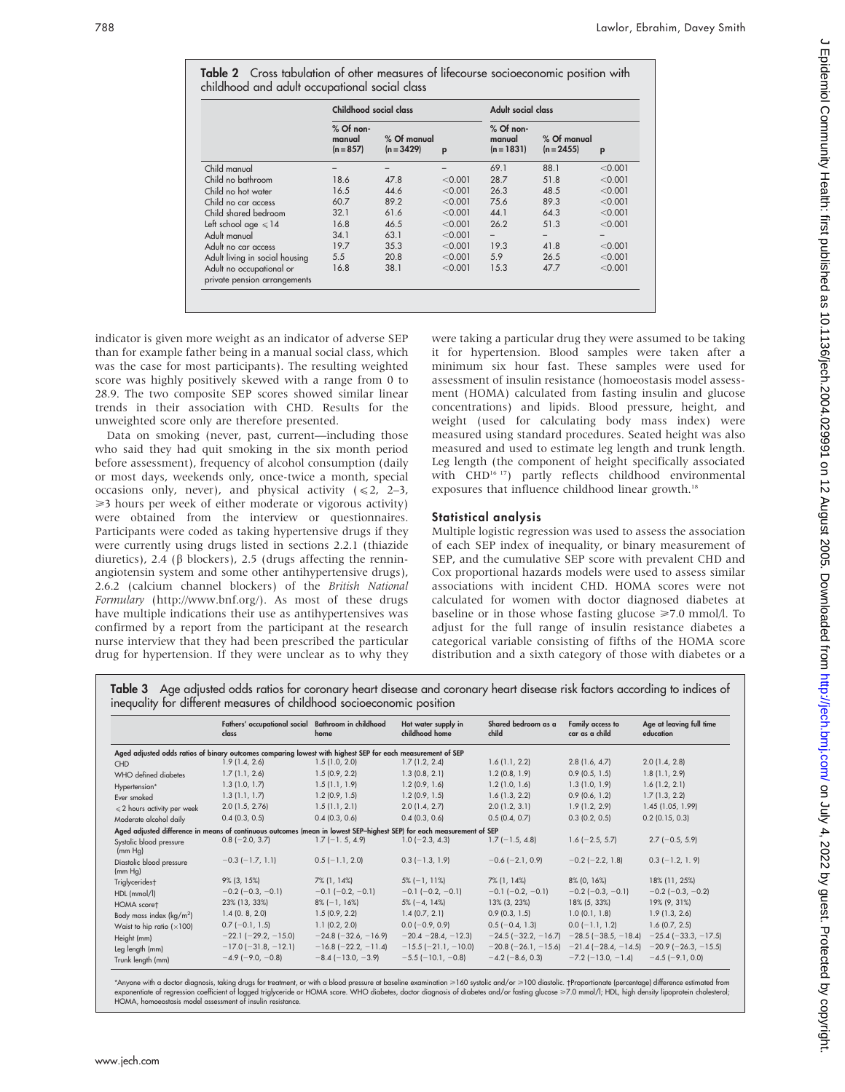|                                                          | Childhood social class               |                             |         | Adult social class                    |                             |         |
|----------------------------------------------------------|--------------------------------------|-----------------------------|---------|---------------------------------------|-----------------------------|---------|
|                                                          | $%$ Of non-<br>manual<br>$(n = 857)$ | % Of manual<br>$(n = 3429)$ | p       | $%$ Of non-<br>manual<br>$(n = 1831)$ | % Of manual<br>$(n = 2455)$ | P       |
| Child manual                                             |                                      |                             |         | 69.1                                  | 88.1                        | < 0.001 |
| Child no bathroom                                        | 18.6                                 | 47.8                        | < 0.001 | 28.7                                  | 51.8                        | < 0.001 |
| Child no hot water                                       | 16.5                                 | 44.6                        | < 0.001 | 26.3                                  | 48.5                        | < 0.001 |
| Child no car access                                      | 60.7                                 | 89.2                        | < 0.001 | 75.6                                  | 89.3                        | < 0.001 |
| Child shared bedroom                                     | 32.1                                 | 61.6                        | < 0.001 | 44.1                                  | 64.3                        | < 0.001 |
| Left school age $\leq 14$                                | 16.8                                 | 46.5                        | < 0.001 | 26.2                                  | 51.3                        | < 0.001 |
| Adult manual                                             | 34.1                                 | 63.1                        | < 0.001 | $\overline{\phantom{0}}$              |                             |         |
| Adult no car access                                      | 19.7                                 | 35.3                        | < 0.001 | 19.3                                  | 41.8                        | < 0.001 |
| Adult living in social housing                           | 5.5                                  | 20.8                        | < 0.001 | 5.9                                   | 26.5                        | < 0.001 |
| Adult no occupational or<br>private pension arrangements | 16.8                                 | 38.1                        | < 0.001 | 15.3                                  | 47.7                        | < 0.001 |

**Table 2** Cross tabulation of other measures of lifecourse socioeconomic position with

indicator is given more weight as an indicator of adverse SEP than for example father being in a manual social class, which was the case for most participants). The resulting weighted score was highly positively skewed with a range from 0 to 28.9. The two composite SEP scores showed similar linear trends in their association with CHD. Results for the unweighted score only are therefore presented.

Data on smoking (never, past, current—including those who said they had quit smoking in the six month period before assessment), frequency of alcohol consumption (daily or most days, weekends only, once-twice a month, special occasions only, never), and physical activity  $(\le 2, 2-3, 1)$ >3 hours per week of either moderate or vigorous activity) were obtained from the interview or questionnaires. Participants were coded as taking hypertensive drugs if they were currently using drugs listed in sections 2.2.1 (thiazide diuretics), 2.4 ( $\beta$  blockers), 2.5 (drugs affecting the renninangiotensin system and some other antihypertensive drugs), 2.6.2 (calcium channel blockers) of the British National Formulary (http://www.bnf.org/). As most of these drugs have multiple indications their use as antihypertensives was confirmed by a report from the participant at the research nurse interview that they had been prescribed the particular drug for hypertension. If they were unclear as to why they

were taking a particular drug they were assumed to be taking it for hypertension. Blood samples were taken after a minimum six hour fast. These samples were used for assessment of insulin resistance (homoeostasis model assessment (HOMA) calculated from fasting insulin and glucose concentrations) and lipids. Blood pressure, height, and weight (used for calculating body mass index) were measured using standard procedures. Seated height was also measured and used to estimate leg length and trunk length. Leg length (the component of height specifically associated with CHD<sup>16-17</sup>) partly reflects childhood environmental exposures that influence childhood linear growth.<sup>18</sup>

# Statistical analysis

Multiple logistic regression was used to assess the association of each SEP index of inequality, or binary measurement of SEP, and the cumulative SEP score with prevalent CHD and Cox proportional hazards models were used to assess similar associations with incident CHD. HOMA scores were not calculated for women with doctor diagnosed diabetes at baseline or in those whose fasting glucose  $\geq 7.0$  mmol/l. To adjust for the full range of insulin resistance diabetes a categorical variable consisting of fifths of the HOMA score distribution and a sixth category of those with diabetes or a

Table 3 Age adjusted odds ratios for coronary heart disease and coronary heart disease risk factors according to indices of inequality for different measures of childhood socioeconomic position

|                                       | Fathers' occupational social Bathroom in childhood<br>class                                                           | home                          | Hot water supply in<br>childhood home | Shared bedroom as a<br>child  | Family access to<br>car as a child                               | Age at leaving full time<br>education |
|---------------------------------------|-----------------------------------------------------------------------------------------------------------------------|-------------------------------|---------------------------------------|-------------------------------|------------------------------------------------------------------|---------------------------------------|
|                                       | Aged adjusted odds ratios of binary outcomes comparing lowest with highest SEP for each measurement of SEP            |                               |                                       |                               |                                                                  |                                       |
| <b>CHD</b>                            | 1.9(1.4, 2.6)                                                                                                         | 1.5(1.0, 2.0)                 | 1.7(1.2, 2.4)                         | 1.6(1.1, 2.2)                 | 2.8(1.6, 4.7)                                                    | $2.0$ (1.4, 2.8)                      |
| WHO defined diabetes                  | 1.7(1.1, 2.6)                                                                                                         | 1.5(0.9, 2.2)                 | 1.3(0.8, 2.1)                         | 1.2(0.8, 1.9)                 | $0.9$ (0.5, 1.5)                                                 | 1.8(1.1, 2.9)                         |
| Hypertension*                         | 1.3(1.0, 1.7)                                                                                                         | 1.5(1.1, 1.9)                 | $1.2$ (0.9, 1.6)                      | 1.2(1.0, 1.6)                 | 1.3(1.0, 1.9)                                                    | 1.6(1.2, 2.1)                         |
| Ever smoked                           | 1.3(1.1, 1.7)                                                                                                         | $1.2$ (0.9, 1.5)              | $1.2$ (0.9, 1.5)                      | 1.6(1.3, 2.2)                 | 0.9(0.6, 1.2)                                                    | 1.7(1.3, 2.2)                         |
| $\leqslant$ 2 hours activity per week | $2.0$ (1.5, 2.76)                                                                                                     | 1.5(1.1, 2.1)                 | 2.0(1.4, 2.7)                         | $2.0$ (1.2, 3.1)              | 1.9(1.2, 2.9)                                                    | 1.45 (1.05, 1.99)                     |
| Moderate alcohol daily                | $0.4$ (0.3, 0.5)                                                                                                      | $0.4$ (0.3, 0.6)              | $0.4$ (0.3, 0.6)                      | 0.5(0.4, 0.7)                 | $0.3$ (0.2, 0.5)                                                 | $0.2$ (0.15, 0.3)                     |
|                                       | Aged adjusted difference in means of continuous outcomes (mean in lowest SEP-highest SEP) for each measurement of SEP |                               |                                       |                               |                                                                  |                                       |
| Systolic blood pressure<br>(mm Hq)    | $0.8$ (-2.0, 3.7)                                                                                                     | $1.7$ (-1.5, 4.9)             | $1.0$ (-2.3, 4.3)                     | $1.7(-1.5, 4.8)$              | $1.6$ (-2.5, 5.7)                                                | $2.7$ (-0.5, 5.9)                     |
| Diastolic blood pressure<br>(mm Hg)   | $-0.3$ ( $-1.7$ , 1.1)                                                                                                | $0.5$ (-1.1, 2.0)             | $0.3$ (-1.3, 1.9)                     | $-0.6$ ( $-2.1$ , 0.9)        | $-0.2$ ( $-2.2$ , 1.8)                                           | $0.3$ (-1.2, 1.9)                     |
| Triglyceridest                        | $9\%$ (3, 15%)                                                                                                        | 7% (1, 14%)                   | $5\%$ (-1, 11%)                       | 7% (1, 14%)                   | 8% (0, 16%)                                                      | 18% (11, 25%)                         |
| HDL (mmol/l)                          | $-0.2$ ( $-0.3$ , $-0.1$ )                                                                                            | $-0.1$ ( $-0.2, -0.1$ )       | $-0.1$ ( $-0.2, -0.1$ )               | $-0.1$ ( $-0.2, -0.1$ )       | $-0.2$ ( $-0.3$ , $-0.1$ )                                       | $-0.2$ ( $-0.3$ , $-0.2$ )            |
| HOMA scoret                           | 23% (13, 33%)                                                                                                         | $8\%$ (-1, 16%)               | $5\%$ (-4, 14%)                       | 13% (3, 23%)                  | 18% (5, 33%)                                                     | 19% (9, 31%)                          |
| Body mass index $(kg/m2)$             | 1.4(0.8, 2.0)                                                                                                         | 1.5(0.9, 2.2)                 | 1.4(0.7, 2.1)                         | 0.9(0.3, 1.5)                 | 1.0(0.1, 1.8)                                                    | 1.9(1.3, 2.6)                         |
| Waist to hip ratio $(x100)$           | $0.7$ (-0.1, 1.5)                                                                                                     | $1.1$ (0.2, 2.0)              | $0.0$ (-0.9, 0.9)                     | $0.5$ (-0.4, 1.3)             | $0.0$ (-1.1, 1.2)                                                | $1.6$ (0.7, 2.5)                      |
| Height (mm)                           | $-22.1$ ( $-29.2$ , $-15.0$ )                                                                                         | $-24.8$ ( $-32.6$ , $-16.9$ ) | $-20.4 - 28.4, -12.3$                 | $-24.5$ ( $-32.2$ , $-16.7$ ) | $-28.5$ ( $-38.5$ , $-18.4$ )                                    | $-25.4$ ( $-33.3$ , $-17.5$ )         |
| Leg length (mm)                       | $-17.0$ ( $-31.8$ , $-12.1$ )                                                                                         | $-16.8$ ( $-22.2$ , $-11.4$ ) | $-15.5$ ( $-21.1$ , $-10.0$ )         |                               | $-20.8$ (-26.1, -15.6) -21.4 (-28.4, -14.5) -20.9 (-26.3, -15.5) |                                       |
| Trunk length (mm)                     | $-4.9$ (-9.0, -0.8)                                                                                                   | $-8.4$ ( $-13.0, -3.9$ )      | $-5.5$ ( $-10.1$ , $-0.8$ )           | $-4.2$ (-8.6, 0.3)            | $-7.2$ ( $-13.0$ , $-1.4$ )                                      | $-4.5$ ( $-9.1$ , 0.0)                |

\*Anyone with a doctor diagnosis, taking drugs for treatment, or with a blood pressure at baseline examination ≥160 systolic and/or ≥100 diastolic. †Proportionate (percentage) difference estim exponentiate of regression coefficient of logged triglyceride or HOMA score. WHO diabetes, doctor diagnosis of diabetes and/or fasting glucose ≥7.0 mmol/l; HDL, high density lipoprotein cholesterol;<br>HOMA, homoeostasis mod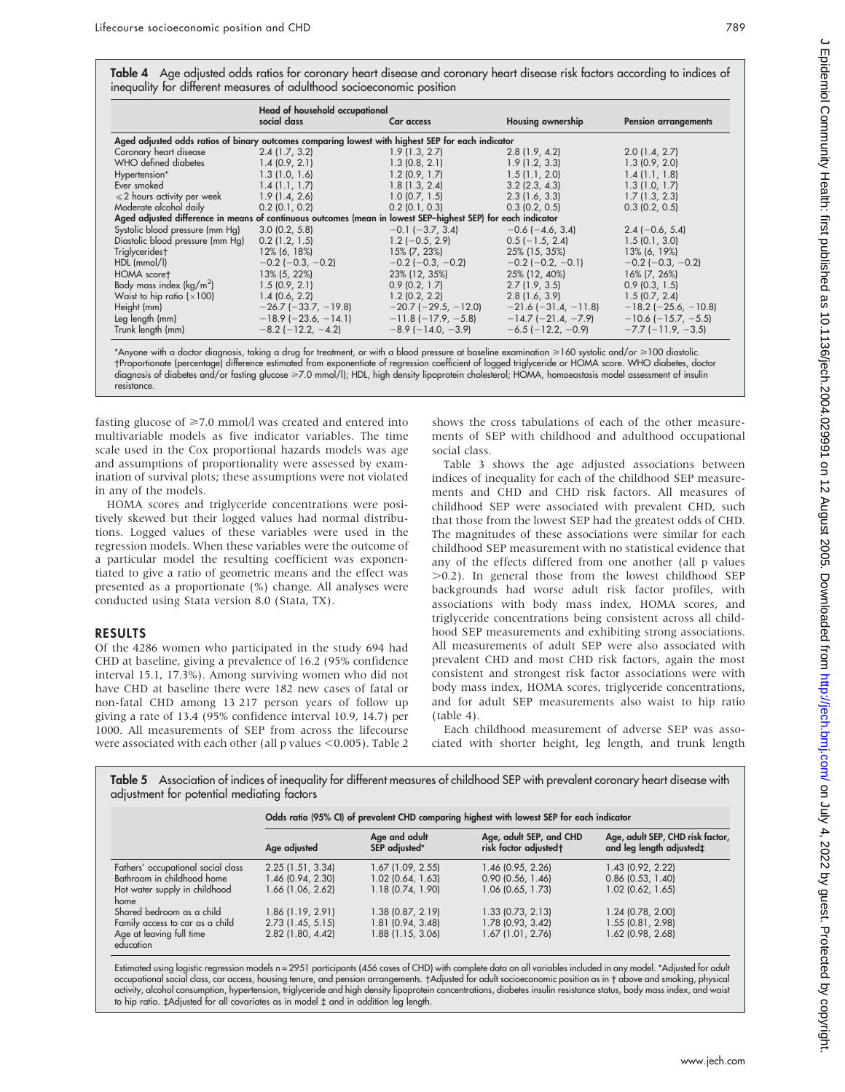Table 4 Age adjusted odds ratios for coronary heart disease and coronary heart disease risk factors according to indices of inequality for different measures of adulthood socioeconomic position

|                                                                                                              | Head of household occupational |                               |                               |                               |
|--------------------------------------------------------------------------------------------------------------|--------------------------------|-------------------------------|-------------------------------|-------------------------------|
|                                                                                                              | social class                   | Car access                    | <b>Housing ownership</b>      | <b>Pension arrangements</b>   |
| Aged adjusted odds ratios of binary outcomes comparing lowest with highest SEP for each indicator            |                                |                               |                               |                               |
| Coronary heart disease                                                                                       | 2.4(1.7, 3.2)                  | 1.9(1.3, 2.7)                 | 2.8(1.9, 4.2)                 | 2.0(1.4, 2.7)                 |
| WHO defined diabetes                                                                                         | 1.4(0.9, 2.1)                  | 1.3(0.8, 2.1)                 | 1.9(1.2, 3.3)                 | 1.3(0.9, 2.0)                 |
| Hypertension*                                                                                                | 1.3(1.0, 1.6)                  | 1.2(0.9, 1.7)                 | 1.5(1.1, 2.0)                 | 1.4(1.1, 1.8)                 |
| Ever smoked                                                                                                  | 1.4(1.1, 1.7)                  | 1.8(1.3, 2.4)                 | $3.2$ (2.3, 4.3)              | 1.3(1.0, 1.7)                 |
| $\leqslant$ 2 hours activity per week                                                                        | 1.9(1.4.2.6)                   | $1.0$ (0.7, 1.5)              | 2.3(1.6, 3.3)                 | 1.7(1.3, 2.3)                 |
| Moderate alcohol daily                                                                                       | $0.2$ (0.1, 0.2)               | $0.2$ (0.1, 0.3)              | $0.3$ (0.2, 0.5)              | $0.3$ (0.2, 0.5)              |
| Aged adjusted difference in means of continuous outcomes (mean in lowest SEP-highest SEP) for each indicator |                                |                               |                               |                               |
| Systolic blood pressure (mm Hg)                                                                              | $3.0$ (0.2, 5.8)               | $-0.1$ ( $-3.7, 3.4$ )        | $-0.6$ ( $-4.6$ , 3.4)        | $2.4$ (-0.6, 5.4)             |
| Diastolic blood pressure (mm Hg)                                                                             | $0.2$ (1.2, 1.5)               | $1.2$ (-0.5, 2.9)             | $0.5$ (-1.5, 2.4)             | 1.5(0.1, 3.0)                 |
| Triglyceridest                                                                                               | $12\%$ (6, 18%)                | 15% (7, 23%)                  | 25% (15, 35%)                 | 13% (6, 19%)                  |
| $HDL$ (mmol/l)                                                                                               | $-0.2$ ( $-0.3$ , $-0.2$ )     | $-0.2$ ( $-0.3$ , $-0.2$ )    | $-0.2$ ( $-0.2$ , $-0.1$ )    | $-0.2$ ( $-0.3$ , $-0.2$ )    |
| HOMA scoret                                                                                                  | 13% (5, 22%)                   | 23% (12, 35%)                 | 25% (12, 40%)                 | 16% (7, 26%)                  |
| Body mass index $(kg/m^2)$                                                                                   | 1.5(0.9, 2.1)                  | 0.9(0.2, 1.7)                 | 2.7(1.9, 3.5)                 | $0.9$ (0.3, 1.5)              |
| Waist to hip ratio $(x100)$                                                                                  | 1.4(0.6, 2.2)                  | $1.2$ (0.2, 2.2)              | 2.8(1.6, 3.9)                 | 1.5(0.7, 2.4)                 |
| Height (mm)                                                                                                  | $-26.7$ ( $-33.7$ , $-19.8$ )  | $-20.7$ ( $-29.5$ , $-12.0$ ) | $-21.6$ ( $-31.4$ , $-11.8$ ) | $-18.2$ ( $-25.6$ , $-10.8$ ) |
| Leg length (mm)                                                                                              | $-18.9$ (-23.6, -14.1)         | $-11.8$ ( $-17.9$ , $-5.8$ )  | $-14.7$ (-21.4, -7.9)         | $-10.6$ ( $-15.7, -5.5$ )     |
| Trunk length (mm)                                                                                            | $-8.2$ ( $-12.2, -4.2$ )       | $-8.9$ ( $-14.0, -3.9$ )      | $-6.5$ ( $-12.2, -0.9$ )      | $-7.7$ ( $-11.9$ , $-3.5$ )   |

\*Anyone with a doctor diagnosis, taking a drug for treatment, or with a blood pressure at baseline examination >160 systolic and/or >100 diastolic. Proportionate (percentage) difference estimated from exponentiate of regression coefficient of logged triglyceride or HOMA score. WHO diabetes, doctor diagnosis of diabetes and/or fasting glucose >7.0 mmol/l); HDL, high density lipoprotein cholesterol; HOMA, homoeostasis model assessment of insulin resistance.

fasting glucose of  $\geq 7.0$  mmol/l was created and entered into multivariable models as five indicator variables. The time scale used in the Cox proportional hazards models was age and assumptions of proportionality were assessed by examination of survival plots; these assumptions were not violated in any of the models.

HOMA scores and triglyceride concentrations were positively skewed but their logged values had normal distributions. Logged values of these variables were used in the regression models. When these variables were the outcome of a particular model the resulting coefficient was exponentiated to give a ratio of geometric means and the effect was presented as a proportionate (%) change. All analyses were conducted using Stata version 8.0 (Stata, TX).

#### RESULTS

Of the 4286 women who participated in the study 694 had CHD at baseline, giving a prevalence of 16.2 (95% confidence interval 15.1, 17.3%). Among surviving women who did not have CHD at baseline there were 182 new cases of fatal or non-fatal CHD among 13 217 person years of follow up giving a rate of 13.4 (95% confidence interval 10.9, 14.7) per 1000. All measurements of SEP from across the lifecourse were associated with each other (all p values  $<$  0.005). Table 2

shows the cross tabulations of each of the other measurements of SEP with childhood and adulthood occupational social class.

Table 3 shows the age adjusted associations between indices of inequality for each of the childhood SEP measurements and CHD and CHD risk factors. All measures of childhood SEP were associated with prevalent CHD, such that those from the lowest SEP had the greatest odds of CHD. The magnitudes of these associations were similar for each childhood SEP measurement with no statistical evidence that any of the effects differed from one another (all p values  $>0.2$ ). In general those from the lowest childhood SEP backgrounds had worse adult risk factor profiles, with associations with body mass index, HOMA scores, and triglyceride concentrations being consistent across all childhood SEP measurements and exhibiting strong associations. All measurements of adult SEP were also associated with prevalent CHD and most CHD risk factors, again the most consistent and strongest risk factor associations were with body mass index, HOMA scores, triglyceride concentrations, and for adult SEP measurements also waist to hip ratio (table 4).

Each childhood measurement of adverse SEP was associated with shorter height, leg length, and trunk length

Table 5 Association of indices of inequality for different measures of childhood SEP with prevalent coronary heart disease with adjustment for potential mediating factors

|                                    | Odds ratio (95% CI) of prevalent CHD comparing highest with lowest SEP for each indicator |                                |                                                  |                                                              |  |  |
|------------------------------------|-------------------------------------------------------------------------------------------|--------------------------------|--------------------------------------------------|--------------------------------------------------------------|--|--|
|                                    | Age adjusted                                                                              | Age and adult<br>SEP adjusted* | Age, adult SEP, and CHD<br>risk factor adjustedt | Age, adult SEP, CHD risk factor,<br>and leg length adjusted: |  |  |
| Fathers' occupational social class | 2.25(1.51, 3.34)                                                                          | $1.67$ (1.09, 2.55)            | 1.46 (0.95, 2.26)                                | 1.43 (0.92, 2.22)                                            |  |  |
| Bathroom in childhood home         | 1.46 (0.94, 2.30)                                                                         | $1.02$ (0.64, 1.63)            | $0.90$ (0.56, 1.46)                              | $0.86$ (0.53, 1.40)                                          |  |  |
| Hot water supply in childhood      | 1.66 (1.06, 2.62)                                                                         | 1.18 (0.74, 1.90)              | 1.06 (0.65, 1.73)                                | 1.02 (0.62, 1.65)                                            |  |  |
| home                               |                                                                                           |                                |                                                  |                                                              |  |  |
| Shared bedroom as a child          | 1.86 (1.19, 2.91)                                                                         | $1.38$ (0.87, 2.19)            | $1.33$ (0.73, 2.13)                              | $1.24$ (0.78, 2.00)                                          |  |  |
| Family access to car as a child    | $2.73$ (1.45, 5.15)                                                                       | 1.81 (0.94, 3.48)              | 1.78 (0.93, 3.42)                                | 1.55(0.81, 2.98)                                             |  |  |
| Age at leaving full time           | 2.82 (1.80, 4.42)                                                                         | 1.88 (1.15, 3.06)              | $1.67$ $(1.01, 2.76)$                            | 1.62 (0.98, 2.68)                                            |  |  |
| education                          |                                                                                           |                                |                                                  |                                                              |  |  |

Estimated using logistic regression models n = 2951 participants (456 cases of CHD) with complete data on all variables included in any model. \*Adjusted for adult occupational social class, car access, housing tenure, and pension arrangements. Adjusted for adult socioeconomic position as in above and smoking, physical activity, alcohol consumption, hypertension, triglyceride and high density lipoprotein concentrations, diabetes insulin resistance status, body mass index, and waist to hip ratio.  $\ddagger$ Adjusted for all covariates as in model  $\ddagger$  and in addition leg length.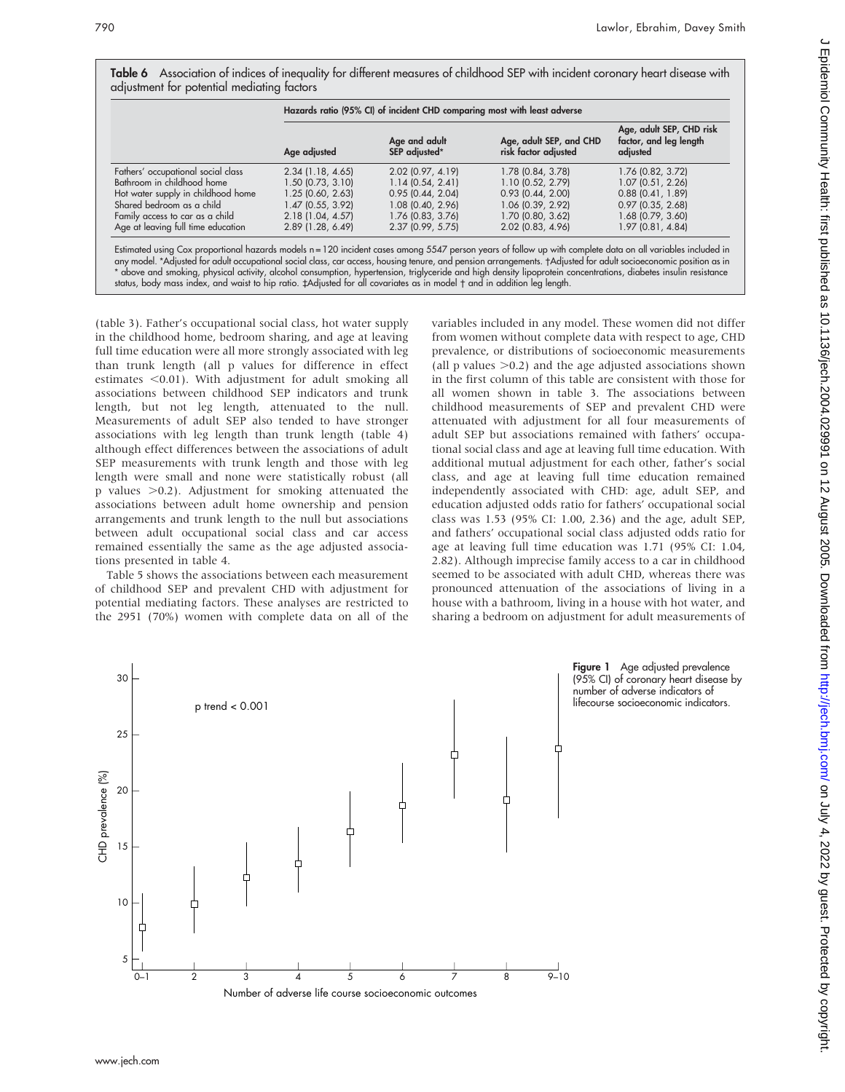| Table 6 Association of indices of inequality for different measures of childhood SEP with incident coronary heart disease with |  |  |  |
|--------------------------------------------------------------------------------------------------------------------------------|--|--|--|
| adjustment for potential mediating factors                                                                                     |  |  |  |

|                                                                                                                                                                                                                                                                                                                                                                                                                                                                                                                                                                                                                              | Hazards ratio (95% CI) of incident CHD comparing most with least adverse |                                |                                                 |                                                                |  |  |
|------------------------------------------------------------------------------------------------------------------------------------------------------------------------------------------------------------------------------------------------------------------------------------------------------------------------------------------------------------------------------------------------------------------------------------------------------------------------------------------------------------------------------------------------------------------------------------------------------------------------------|--------------------------------------------------------------------------|--------------------------------|-------------------------------------------------|----------------------------------------------------------------|--|--|
|                                                                                                                                                                                                                                                                                                                                                                                                                                                                                                                                                                                                                              | Age adjusted                                                             | Age and adult<br>SEP adjusted* | Age, adult SEP, and CHD<br>risk factor adjusted | Age, adult SEP, CHD risk<br>factor, and leg length<br>adjusted |  |  |
| Fathers' occupational social class                                                                                                                                                                                                                                                                                                                                                                                                                                                                                                                                                                                           | $2.34$ (1.18, 4.65)                                                      | 2.02 (0.97, 4.19)              | 1.78 (0.84, 3.78)                               | 1.76 (0.82, 3.72)                                              |  |  |
| Bathroom in childhood home                                                                                                                                                                                                                                                                                                                                                                                                                                                                                                                                                                                                   | 1.50 (0.73, 3.10)                                                        | 1.14(0.54, 2.41)               | 1.10(0.52, 2.79)                                | 1.07(0.51, 2.26)                                               |  |  |
| Hot water supply in childhood home                                                                                                                                                                                                                                                                                                                                                                                                                                                                                                                                                                                           | 1.25 (0.60, 2.63)                                                        | 0.95(0.44, 2.04)               | $0.93$ (0.44, 2.00)                             | $0.88$ (0.41, 1.89)                                            |  |  |
| Shared bedroom as a child                                                                                                                                                                                                                                                                                                                                                                                                                                                                                                                                                                                                    | $1.47$ (0.55, 3.92)                                                      | 1.08 (0.40, 2.96)              | 1.06 (0.39, 2.92)                               | $0.97$ $(0.35, 2.68)$                                          |  |  |
| Family access to car as a child                                                                                                                                                                                                                                                                                                                                                                                                                                                                                                                                                                                              | 2.18(1.04, 4.57)                                                         | 1.76 (0.83, 3.76)              | 1.70 (0.80, 3.62)                               | 1.68 (0.79, 3.60)                                              |  |  |
| Age at leaving full time education                                                                                                                                                                                                                                                                                                                                                                                                                                                                                                                                                                                           | $2.89$ (1.28, 6.49)                                                      | $2.37$ (0.99, 5.75)            | 2.02 (0.83, 4.96)                               | 1.97(0.81, 4.84)                                               |  |  |
| Estimated using Cox proportional hazards models n=120 incident cases among 5547 person years of follow up with complete data on all variables included in<br>any model. *Adjusted for adult occupational social class, car access, housing tenure, and pension arrangements. †Adjusted for adult socioeconomic position as in<br>* above and smoking, physical activity, alcohol consumption, hypertension, triglyceride and high density lipoprotein concentrations, diabetes insulin resistance<br>status, body mass index, and waist to hip ratio. ‡Adjusted for all covariates as in model t and in addition leg length. |                                                                          |                                |                                                 |                                                                |  |  |

(table 3). Father's occupational social class, hot water supply in the childhood home, bedroom sharing, and age at leaving full time education were all more strongly associated with leg than trunk length (all p values for difference in effect estimates  $< 0.01$ ). With adjustment for adult smoking all associations between childhood SEP indicators and trunk length, but not leg length, attenuated to the null. Measurements of adult SEP also tended to have stronger associations with leg length than trunk length (table 4) although effect differences between the associations of adult SEP measurements with trunk length and those with leg length were small and none were statistically robust (all p values  $>0.2$ ). Adjustment for smoking attenuated the associations between adult home ownership and pension arrangements and trunk length to the null but associations between adult occupational social class and car access remained essentially the same as the age adjusted associations presented in table 4.

Table 5 shows the associations between each measurement of childhood SEP and prevalent CHD with adjustment for potential mediating factors. These analyses are restricted to the 2951 (70%) women with complete data on all of the variables included in any model. These women did not differ from women without complete data with respect to age, CHD prevalence, or distributions of socioeconomic measurements (all  $p$  values  $>0.2$ ) and the age adjusted associations shown in the first column of this table are consistent with those for all women shown in table 3. The associations between childhood measurements of SEP and prevalent CHD were attenuated with adjustment for all four measurements of adult SEP but associations remained with fathers' occupational social class and age at leaving full time education. With additional mutual adjustment for each other, father's social class, and age at leaving full time education remained independently associated with CHD: age, adult SEP, and education adjusted odds ratio for fathers' occupational social class was 1.53 (95% CI: 1.00, 2.36) and the age, adult SEP, and fathers' occupational social class adjusted odds ratio for age at leaving full time education was 1.71 (95% CI: 1.04, 2.82). Although imprecise family access to a car in childhood seemed to be associated with adult CHD, whereas there was pronounced attenuation of the associations of living in a house with a bathroom, living in a house with hot water, and sharing a bedroom on adjustment for adult measurements of

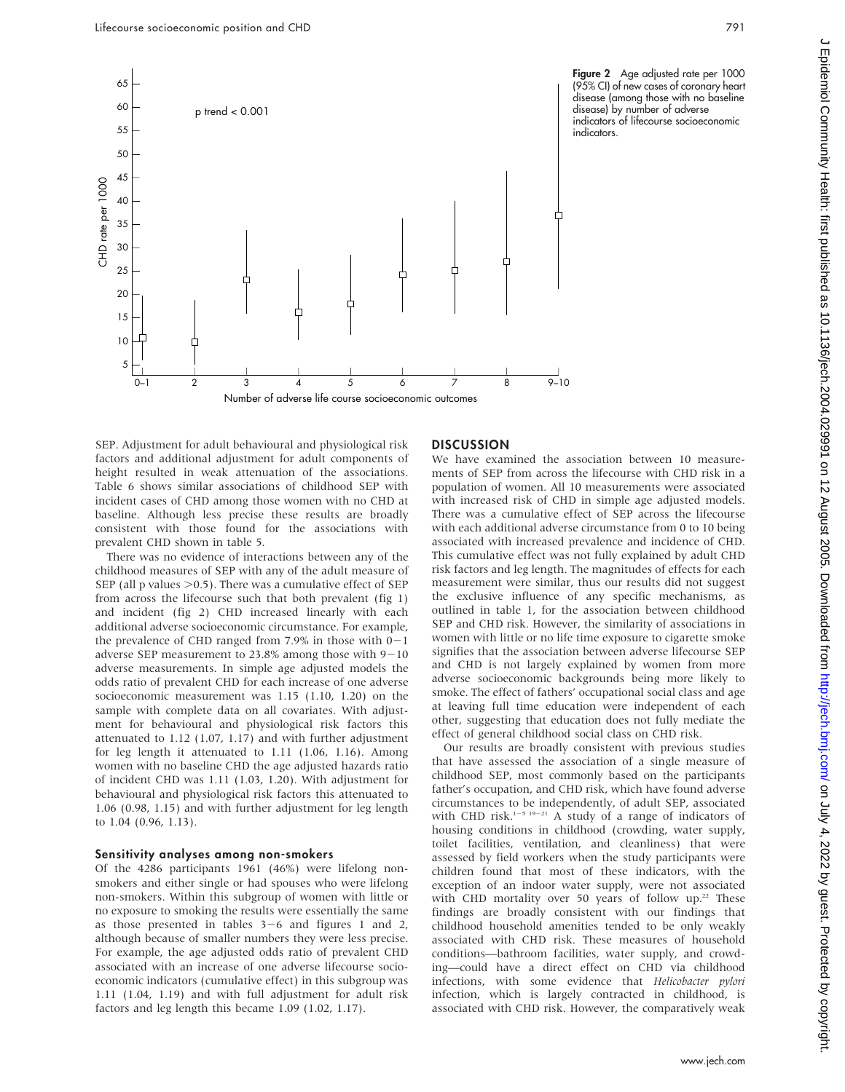

SEP. Adjustment for adult behavioural and physiological risk factors and additional adjustment for adult components of height resulted in weak attenuation of the associations. Table 6 shows similar associations of childhood SEP with incident cases of CHD among those women with no CHD at baseline. Although less precise these results are broadly consistent with those found for the associations with prevalent CHD shown in table 5.

There was no evidence of interactions between any of the childhood measures of SEP with any of the adult measure of SEP (all p values  $>$ 0.5). There was a cumulative effect of SEP from across the lifecourse such that both prevalent (fig 1) and incident (fig 2) CHD increased linearly with each additional adverse socioeconomic circumstance. For example, the prevalence of CHD ranged from 7.9% in those with  $0-1$ adverse SEP measurement to 23.8% among those with  $9-10$ adverse measurements. In simple age adjusted models the odds ratio of prevalent CHD for each increase of one adverse socioeconomic measurement was 1.15 (1.10, 1.20) on the sample with complete data on all covariates. With adjustment for behavioural and physiological risk factors this attenuated to 1.12 (1.07, 1.17) and with further adjustment for leg length it attenuated to 1.11 (1.06, 1.16). Among women with no baseline CHD the age adjusted hazards ratio of incident CHD was 1.11 (1.03, 1.20). With adjustment for behavioural and physiological risk factors this attenuated to 1.06 (0.98, 1.15) and with further adjustment for leg length to 1.04 (0.96, 1.13).

#### Sensitivity analyses among non-smokers

Of the 4286 participants 1961 (46%) were lifelong nonsmokers and either single or had spouses who were lifelong non-smokers. Within this subgroup of women with little or no exposure to smoking the results were essentially the same as those presented in tables  $3-6$  and figures 1 and 2, although because of smaller numbers they were less precise. For example, the age adjusted odds ratio of prevalent CHD associated with an increase of one adverse lifecourse socioeconomic indicators (cumulative effect) in this subgroup was 1.11 (1.04, 1.19) and with full adjustment for adult risk factors and leg length this became 1.09 (1.02, 1.17).

#### **DISCUSSION**

We have examined the association between 10 measurements of SEP from across the lifecourse with CHD risk in a population of women. All 10 measurements were associated with increased risk of CHD in simple age adjusted models. There was a cumulative effect of SEP across the lifecourse with each additional adverse circumstance from 0 to 10 being associated with increased prevalence and incidence of CHD. This cumulative effect was not fully explained by adult CHD risk factors and leg length. The magnitudes of effects for each measurement were similar, thus our results did not suggest the exclusive influence of any specific mechanisms, as outlined in table 1, for the association between childhood SEP and CHD risk. However, the similarity of associations in women with little or no life time exposure to cigarette smoke signifies that the association between adverse lifecourse SEP and CHD is not largely explained by women from more adverse socioeconomic backgrounds being more likely to smoke. The effect of fathers' occupational social class and age at leaving full time education were independent of each other, suggesting that education does not fully mediate the effect of general childhood social class on CHD risk.

Our results are broadly consistent with previous studies that have assessed the association of a single measure of childhood SEP, most commonly based on the participants father's occupation, and CHD risk, which have found adverse circumstances to be independently, of adult SEP, associated with CHD risk.<sup>1-5 19-21</sup> A study of a range of indicators of housing conditions in childhood (crowding, water supply, toilet facilities, ventilation, and cleanliness) that were assessed by field workers when the study participants were children found that most of these indicators, with the exception of an indoor water supply, were not associated with CHD mortality over 50 years of follow up. $22$  These findings are broadly consistent with our findings that childhood household amenities tended to be only weakly associated with CHD risk. These measures of household conditions—bathroom facilities, water supply, and crowding—could have a direct effect on CHD via childhood infections, with some evidence that Helicobacter pylori infection, which is largely contracted in childhood, is associated with CHD risk. However, the comparatively weak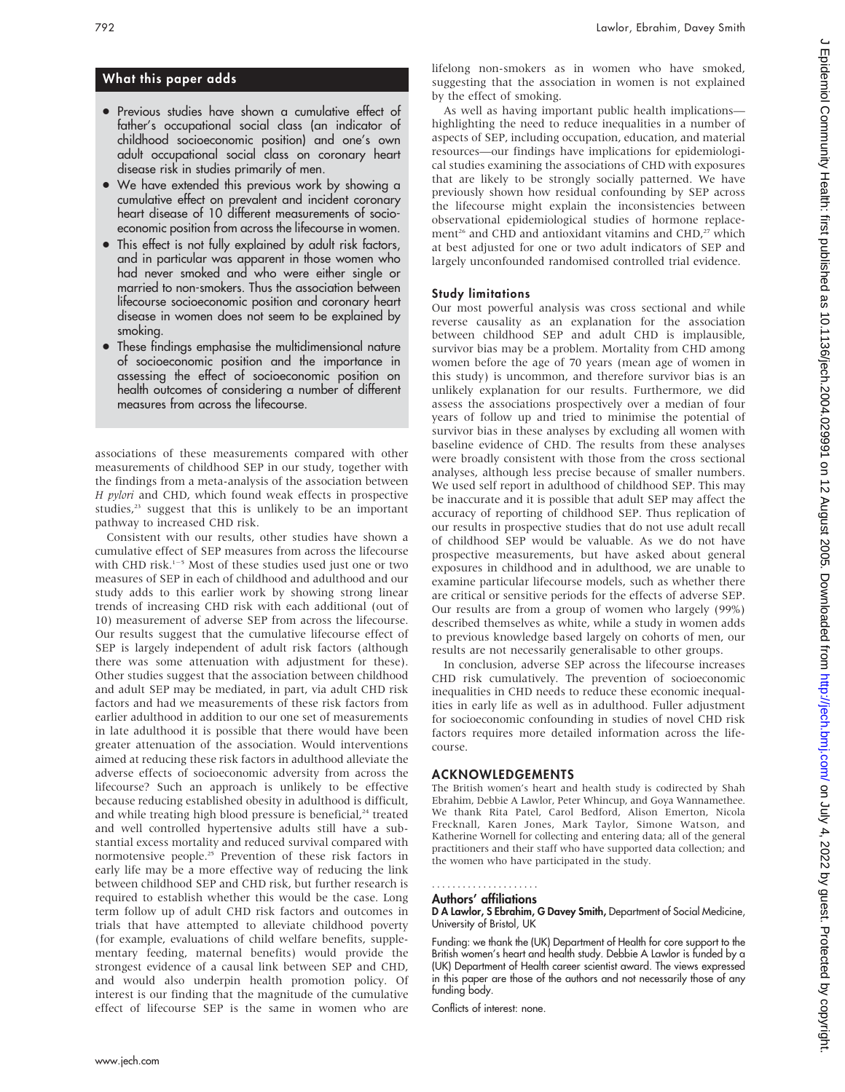# What this paper adds

- Previous studies have shown a cumulative effect of father's occupational social class (an indicator of childhood socioeconomic position) and one's own adult occupational social class on coronary heart disease risk in studies primarily of men.
- We have extended this previous work by showing a cumulative effect on prevalent and incident coronary heart disease of 10 different measurements of socioeconomic position from across the lifecourse in women.
- This effect is not fully explained by adult risk factors, and in particular was apparent in those women who had never smoked and who were either single or married to non-smokers. Thus the association between lifecourse socioeconomic position and coronary heart disease in women does not seem to be explained by smoking.
- These findings emphasise the multidimensional nature of socioeconomic position and the importance in assessing the effect of socioeconomic position on health outcomes of considering a number of different measures from across the lifecourse.

associations of these measurements compared with other measurements of childhood SEP in our study, together with the findings from a meta-analysis of the association between H pylori and CHD, which found weak effects in prospective studies,<sup>23</sup> suggest that this is unlikely to be an important pathway to increased CHD risk.

Consistent with our results, other studies have shown a cumulative effect of SEP measures from across the lifecourse with CHD risk.<sup>1-5</sup> Most of these studies used just one or two measures of SEP in each of childhood and adulthood and our study adds to this earlier work by showing strong linear trends of increasing CHD risk with each additional (out of 10) measurement of adverse SEP from across the lifecourse. Our results suggest that the cumulative lifecourse effect of SEP is largely independent of adult risk factors (although there was some attenuation with adjustment for these). Other studies suggest that the association between childhood and adult SEP may be mediated, in part, via adult CHD risk factors and had we measurements of these risk factors from earlier adulthood in addition to our one set of measurements in late adulthood it is possible that there would have been greater attenuation of the association. Would interventions aimed at reducing these risk factors in adulthood alleviate the adverse effects of socioeconomic adversity from across the lifecourse? Such an approach is unlikely to be effective because reducing established obesity in adulthood is difficult, and while treating high blood pressure is beneficial,<sup>24</sup> treated and well controlled hypertensive adults still have a substantial excess mortality and reduced survival compared with normotensive people.25 Prevention of these risk factors in early life may be a more effective way of reducing the link between childhood SEP and CHD risk, but further research is required to establish whether this would be the case. Long term follow up of adult CHD risk factors and outcomes in trials that have attempted to alleviate childhood poverty (for example, evaluations of child welfare benefits, supplementary feeding, maternal benefits) would provide the strongest evidence of a causal link between SEP and CHD, and would also underpin health promotion policy. Of interest is our finding that the magnitude of the cumulative effect of lifecourse SEP is the same in women who are lifelong non-smokers as in women who have smoked, suggesting that the association in women is not explained by the effect of smoking.

As well as having important public health implications highlighting the need to reduce inequalities in a number of aspects of SEP, including occupation, education, and material resources—our findings have implications for epidemiological studies examining the associations of CHD with exposures that are likely to be strongly socially patterned. We have previously shown how residual confounding by SEP across the lifecourse might explain the inconsistencies between observational epidemiological studies of hormone replacement<sup>26</sup> and CHD and antioxidant vitamins and CHD,<sup>27</sup> which at best adjusted for one or two adult indicators of SEP and largely unconfounded randomised controlled trial evidence.

## Study limitations

Our most powerful analysis was cross sectional and while reverse causality as an explanation for the association between childhood SEP and adult CHD is implausible, survivor bias may be a problem. Mortality from CHD among women before the age of 70 years (mean age of women in this study) is uncommon, and therefore survivor bias is an unlikely explanation for our results. Furthermore, we did assess the associations prospectively over a median of four years of follow up and tried to minimise the potential of survivor bias in these analyses by excluding all women with baseline evidence of CHD. The results from these analyses were broadly consistent with those from the cross sectional analyses, although less precise because of smaller numbers. We used self report in adulthood of childhood SEP. This may be inaccurate and it is possible that adult SEP may affect the accuracy of reporting of childhood SEP. Thus replication of our results in prospective studies that do not use adult recall of childhood SEP would be valuable. As we do not have prospective measurements, but have asked about general exposures in childhood and in adulthood, we are unable to examine particular lifecourse models, such as whether there are critical or sensitive periods for the effects of adverse SEP. Our results are from a group of women who largely (99%) described themselves as white, while a study in women adds to previous knowledge based largely on cohorts of men, our results are not necessarily generalisable to other groups.

In conclusion, adverse SEP across the lifecourse increases CHD risk cumulatively. The prevention of socioeconomic inequalities in CHD needs to reduce these economic inequalities in early life as well as in adulthood. Fuller adjustment for socioeconomic confounding in studies of novel CHD risk factors requires more detailed information across the lifecourse.

## ACKNOWLEDGEMENTS

The British women's heart and health study is codirected by Shah Ebrahim, Debbie A Lawlor, Peter Whincup, and Goya Wannamethee. We thank Rita Patel, Carol Bedford, Alison Emerton, Nicola Frecknall, Karen Jones, Mark Taylor, Simone Watson, and Katherine Wornell for collecting and entering data; all of the general practitioners and their staff who have supported data collection; and the women who have participated in the study.

#### Authors' affiliations .....................

D A Lawlor, S Ebrahim, G Davey Smith, Department of Social Medicine, University of Bristol, UK

Funding: we thank the (UK) Department of Health for core support to the British women's heart and health study. Debbie A Lawlor is funded by a (UK) Department of Health career scientist award. The views expressed in this paper are those of the authors and not necessarily those of any funding body.

Conflicts of interest: none.